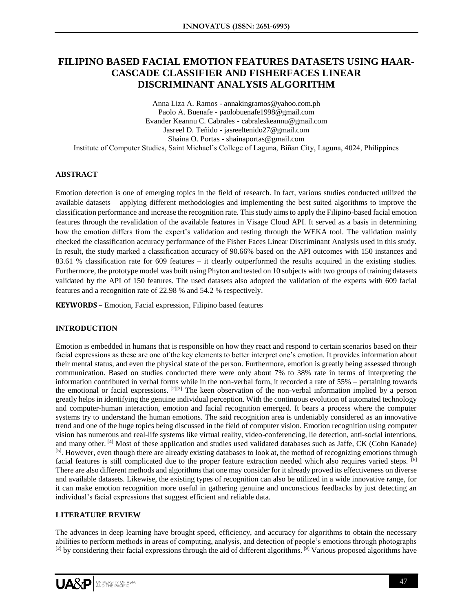# **FILIPINO BASED FACIAL EMOTION FEATURES DATASETS USING HAAR-CASCADE CLASSIFIER AND FISHERFACES LINEAR DISCRIMINANT ANALYSIS ALGORITHM**

Anna Liza A. Ramos - annakingramos@yahoo.com.ph Paolo A. Buenafe - paolobuenafe1998@gmail.com Evander Keannu C. Cabrales - [cabraleskeannu@gmail.com](mailto:cabraleskeannu@gmail.com) Jasreel D. Teñido - jasreeltenido27@gmail.com Shaina O. Portas - shainaportas@gmail.com Institute of Computer Studies, Saint Michael's College of Laguna, Biñan City, Laguna, 4024, Philippines

# **ABSTRACT**

Emotion detection is one of emerging topics in the field of research. In fact, various studies conducted utilized the available datasets – applying different methodologies and implementing the best suited algorithms to improve the classification performance and increase the recognition rate. This study aims to apply the Filipino-based facial emotion features through the revalidation of the available features in Visage Cloud API. It served as a basis in determining how the emotion differs from the expert's validation and testing through the WEKA tool. The validation mainly checked the classification accuracy performance of the Fisher Faces Linear Discriminant Analysis used in this study. In result, the study marked a classification accuracy of 90.66% based on the API outcomes with 150 instances and 83.61 % classification rate for 609 features – it clearly outperformed the results acquired in the existing studies. Furthermore, the prototype model was built using Phyton and tested on 10 subjects with two groups of training datasets validated by the API of 150 features. The used datasets also adopted the validation of the experts with 609 facial features and a recognition rate of 22.98 % and 54.2 % respectively.

**KEYWORDS** – Emotion, Facial expression, Filipino based features

# **INTRODUCTION**

Emotion is embedded in humans that is responsible on how they react and respond to certain scenarios based on their facial expressions as these are one of the key elements to better interpret one's emotion. It provides information about their mental status, and even the physical state of the person. Furthermore, emotion is greatly being assessed through communication. Based on studies conducted there were only about 7% to 38% rate in terms of interpreting the information contributed in verbal forms while in the non-verbal form, it recorded a rate of 55% – pertaining towards the emotional or facial expressions. [2][3] The keen observation of the non-verbal information implied by a person greatly helps in identifying the genuine individual perception. With the continuous evolution of automated technology and computer-human interaction, emotion and facial recognition emerged. It bears a process where the computer systems try to understand the human emotions. The said recognition area is undeniably considered as an innovative trend and one of the huge topics being discussed in the field of computer vision. Emotion recognition using computer vision has numerous and real-life systems like virtual reality, video-conferencing, lie detection, anti-social intentions, and many other. [4] Most of these application and studies used validated databases such as Jaffe, CK (Cohn Kanade) [5]. However, even though there are already existing databases to look at, the method of recognizing emotions through facial features is still complicated due to the proper feature extraction needed which also requires varied steps. [6] There are also different methods and algorithms that one may consider for it already proved its effectiveness on diverse and available datasets. Likewise, the existing types of recognition can also be utilized in a wide innovative range, for it can make emotion recognition more useful in gathering genuine and unconscious feedbacks by just detecting an individual's facial expressions that suggest efficient and reliable data.

# **LITERATURE REVIEW**

The advances in deep learning have brought speed, efficiency, and accuracy for algorithms to obtain the necessary abilities to perform methods in areas of computing, analysis, and detection of people's emotions through photographs  $^{[2]}$  by considering their facial expressions through the aid of different algorithms.  $^{[9]}$  Various proposed algorithms have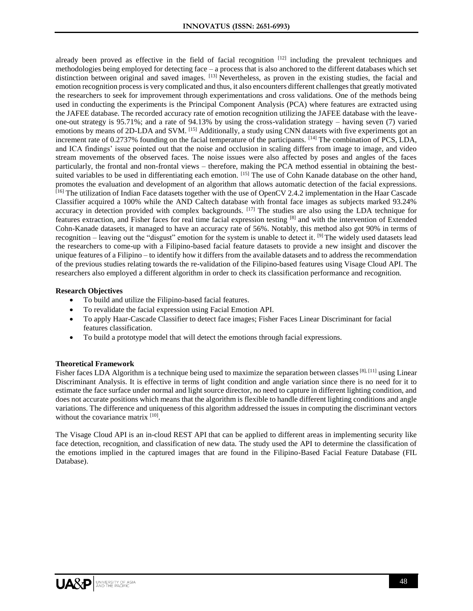already been proved as effective in the field of facial recognition [12] including the prevalent techniques and methodologies being employed for detecting face – a process that is also anchored to the different databases which set distinction between original and saved images. <sup>[13]</sup> Nevertheless, as proven in the existing studies, the facial and emotion recognition process is very complicated and thus, it also encounters different challenges that greatly motivated the researchers to seek for improvement through experimentations and cross validations. One of the methods being used in conducting the experiments is the Principal Component Analysis (PCA) where features are extracted using the JAFEE database. The recorded accuracy rate of emotion recognition utilizing the JAFEE database with the leaveone-out strategy is 95.71%; and a rate of 94.13% by using the cross-validation strategy – having seven (7) varied emotions by means of 2D-LDA and SVM. [15] Additionally, a study using CNN datasets with five experiments got an increment rate of 0.2737% founding on the facial temperature of the participants. [14] The combination of PCS, LDA, and ICA findings' issue pointed out that the noise and occlusion in scaling differs from image to image, and video stream movements of the observed faces. The noise issues were also affected by poses and angles of the faces particularly, the frontal and non-frontal views – therefore, making the PCA method essential in obtaining the bestsuited variables to be used in differentiating each emotion. [15] The use of Cohn Kanade database on the other hand, promotes the evaluation and development of an algorithm that allows automatic detection of the facial expressions. <sup>[16]</sup> The utilization of Indian Face datasets together with the use of OpenCV 2.4.2 implementation in the Haar Cascade Classifier acquired a 100% while the AND Caltech database with frontal face images as subjects marked 93.24% accuracy in detection provided with complex backgrounds. [17] The studies are also using the LDA technique for features extraction, and Fisher faces for real time facial expression testing [8] and with the intervention of Extended Cohn-Kanade datasets, it managed to have an accuracy rate of 56%. Notably, this method also got 90% in terms of recognition – leaving out the "disgust" emotion for the system is unable to detect it. <sup>[9]</sup> The widely used datasets lead the researchers to come-up with a Filipino-based facial feature datasets to provide a new insight and discover the unique features of a Filipino – to identify how it differs from the available datasets and to address the recommendation of the previous studies relating towards the re-validation of the Filipino-based features using Visage Cloud API. The researchers also employed a different algorithm in order to check its classification performance and recognition.

#### **Research Objectives**

- To build and utilize the Filipino-based facial features.
- To revalidate the facial expression using Facial Emotion API.
- To apply Haar-Cascade Classifier to detect face images; Fisher Faces Linear Discriminant for facial features classification.
- To build a prototype model that will detect the emotions through facial expressions.

#### **Theoretical Framework**

Fisher faces LDA Algorithm is a technique being used to maximize the separation between classes<sup>[8], [11]</sup> using Linear Discriminant Analysis. It is effective in terms of light condition and angle variation since there is no need for it to estimate the face surface under normal and light source director, no need to capture in different lighting condition, and does not accurate positions which means that the algorithm is flexible to handle different lighting conditions and angle variations. The difference and uniqueness of this algorithm addressed the issues in computing the discriminant vectors without the covariance matrix [10].

The Visage Cloud API is an in-cloud REST API that can be applied to different areas in implementing security like face detection, recognition, and classification of new data. The study used the API to determine the classification of the emotions implied in the captured images that are found in the Filipino-Based Facial Feature Database (FIL Database).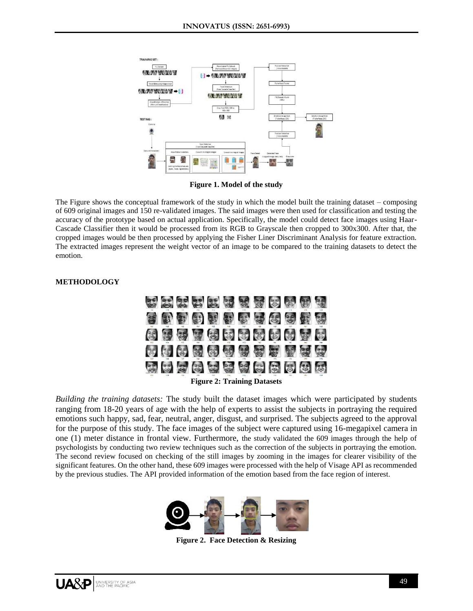

**Figure 1. Model of the study**

The Figure shows the conceptual framework of the study in which the model built the training dataset – composing of 609 original images and 150 re-validated images. The said images were then used for classification and testing the accuracy of the prototype based on actual application. Specifically, the model could detect face images using Haar-Cascade Classifier then it would be processed from its RGB to Grayscale then cropped to 300x300. After that, the cropped images would be then processed by applying the Fisher Liner Discriminant Analysis for feature extraction. The extracted images represent the weight vector of an image to be compared to the training datasets to detect the emotion.

# **METHODOLOGY**



*Building the training datasets:* The study built the dataset images which were participated by students ranging from 18-20 years of age with the help of experts to assist the subjects in portraying the required emotions such happy, sad, fear, neutral, anger, disgust, and surprised. The subjects agreed to the approval for the purpose of this study. The face images of the subject were captured using 16-megapixel camera in one (1) meter distance in frontal view. Furthermore, the study validated the 609 images through the help of psychologists by conducting two review techniques such as the correction of the subjects in portraying the emotion. The second review focused on checking of the still images by zooming in the images for clearer visibility of the significant features. On the other hand, these 609 images were processed with the help of Visage API as recommended by the previous studies. The API provided information of the emotion based from the face region of interest.



**Figure 2. Face Detection & Resizing**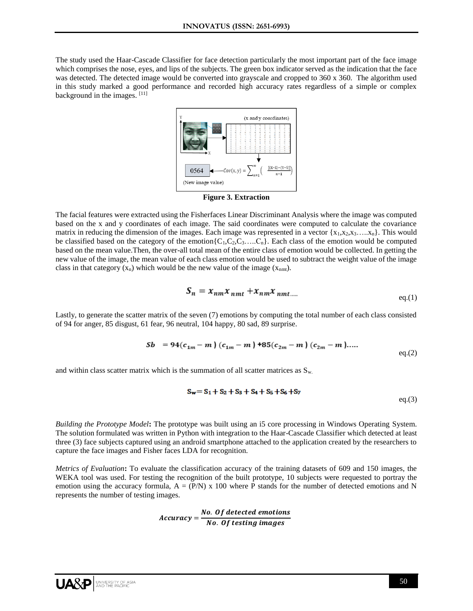The study used the Haar-Cascade Classifier for face detection particularly the most important part of the face image which comprises the nose, eyes, and lips of the subjects. The green box indicator served as the indication that the face was detected. The detected image would be converted into grayscale and cropped to 360 x 360. The algorithm used in this study marked a good performance and recorded high accuracy rates regardless of a simple or complex background in the images. [11]



**Figure 3. Extraction**

The facial features were extracted using the Fisherfaces Linear Discriminant Analysis where the image was computed based on the x and y coordinates of each image. The said coordinates were computed to calculate the covariance matrix in reducing the dimension of the images. Each image was represented in a vector  ${x_1, x_2, x_3, \ldots, x_n}$ . This would be classified based on the category of the emotion ${C_1, C_2, C_3, \ldots, C_n}$ . Each class of the emotion would be computed based on the mean value.Then, the over-all total mean of the entire class of emotion would be collected. In getting the new value of the image, the mean value of each class emotion would be used to subtract the weight value of the image class in that category  $(x_n)$  which would be the new value of the image  $(x_{nmt})$ .

$$
S_n = x_{nm} x_{nmt} + x_{nm} x_{nmt\ldots}
$$

Lastly, to generate the scatter matrix of the seven (7) emotions by computing the total number of each class consisted of 94 for anger, 85 disgust, 61 fear, 96 neutral, 104 happy, 80 sad, 89 surprise.

$$
Sb = 94(c_{1m} - m) (c_{1m} - m) +85(c_{2m} - m) (c_{2m} - m) .....
$$
eq.(2)

and within class scatter matrix which is the summation of all scatter matrices as  $S_{w}$ .

$$
S_w = S_1 + S_2 + S_3 + S_4 + S_5 + S_6 + S_7
$$
  
eq.(3)

*Building the Prototype Model***:** The prototype was built using an i5 core processing in Windows Operating System. The solution formulated was written in Python with integration to the Haar-Cascade Classifier which detected at least three (3) face subjects captured using an android smartphone attached to the application created by the researchers to capture the face images and Fisher faces LDA for recognition.

*Metrics of Evaluation***:** To evaluate the classification accuracy of the training datasets of 609 and 150 images, the WEKA tool was used. For testing the recognition of the built prototype, 10 subjects were requested to portray the emotion using the accuracy formula,  $A = (P/N)$  x 100 where P stands for the number of detected emotions and N represents the number of testing images.

> $Accuracy = \frac{No. \ Of \ detected \ emotions}{N = 0.64 \times 10^{-6} \ cm s}$ No. Of testing images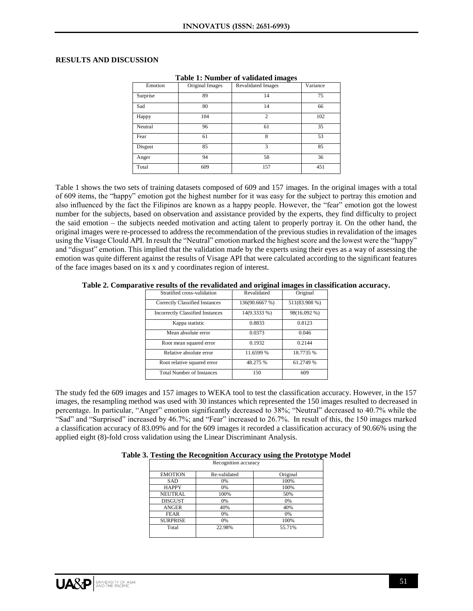### **RESULTS AND DISCUSSION**

| Emotion  | Original Images | <b>Revalidated Images</b> | Variance |
|----------|-----------------|---------------------------|----------|
| Surprise | 89              | 14                        | 75       |
| Sad      | 80              | 14                        | 66       |
| Happy    | 104             | $\mathfrak{2}$            | 102      |
| Neutral  | 96              | 61                        | 35       |
| Fear     | 61              | 8                         | 53       |
| Disgust  | 85              | 3                         | 85       |
| Anger    | 94              | 58                        | 36       |
| Total    | 609             | 157                       | 451      |

**Table 1: Number of validated images**

Table 1 shows the two sets of training datasets composed of 609 and 157 images. In the original images with a total of 609 items, the "happy" emotion got the highest number for it was easy for the subject to portray this emotion and also influenced by the fact the Filipinos are known as a happy people. However, the "fear" emotion got the lowest number for the subjects, based on observation and assistance provided by the experts, they find difficulty to project the said emotion – the subjects needed motivation and acting talent to properly portray it. On the other hand, the original images were re-processed to address the recommendation of the previous studies in revalidation of the images using the Visage Clould API. In result the "Neutral" emotion marked the highest score and the lowest were the "happy" and "disgust" emotion. This implied that the validation made by the experts using their eyes as a way of assessing the emotion was quite different against the results of Visage API that were calculated according to the significant features of the face images based on its x and y coordinates region of interest.

**Table 2. Comparative results of the revalidated and original images in classification accuracy.**

| Stratified cross-validation             | Revalidated    | Original      |
|-----------------------------------------|----------------|---------------|
| Correctly Classified Instances          | 136(90.6667 %) | 511(83.908 %) |
| <b>Incorrectly Classified Instances</b> | 14(9.3333 %)   | 98(16.092 %)  |
| Kappa statistic                         | 0.8833         | 0.8123        |
| Mean absolute error                     | 0.0373         | 0.046         |
| Root mean squared error                 | 0.1932         | 0.2144        |
| Relative absolute error                 | 11.6599 %      | 18.7735 %     |
| Root relative squared error             | 48.275 %       | 61.2749 %     |
| <b>Total Number of Instances</b>        | 150            | 609           |

The study fed the 609 images and 157 images to WEKA tool to test the classification accuracy. However, in the 157 images, the resampling method was used with 30 instances which represented the 150 images resulted to decreased in percentage. In particular, "Anger" emotion significantly decreased to 38%; "Neutral" decreased to 40.7% while the "Sad" and "Surprised" increased by 46.7%; and "Fear" increased to 26.7%. In result of this, the 150 images marked a classification accuracy of 83.09% and for the 609 images it recorded a classification accuracy of 90.66% using the applied eight (8)-fold cross validation using the Linear Discriminant Analysis.

**Table 3. Testing the Recognition Accuracy using the Prototype Model** 

| Recognition accuracy |              |          |  |  |
|----------------------|--------------|----------|--|--|
| <b>EMOTION</b>       | Re-validated | Original |  |  |
| SAD                  | 0%           | 100%     |  |  |
| <b>HAPPY</b>         | 0%           | 100%     |  |  |
| <b>NEUTRAL</b>       | 100%         | 50%      |  |  |
| <b>DISGUST</b>       | 0%           | 0%       |  |  |
| <b>ANGER</b>         | 40%          | 40%      |  |  |
| <b>FEAR</b>          | 0%           | 0%       |  |  |
| <b>SURPRISE</b>      | 0%           | 100%     |  |  |
| Total                | 22.98%       | 55.71%   |  |  |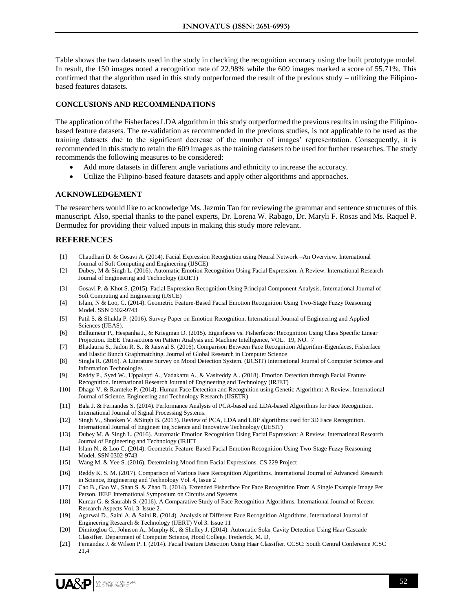Table shows the two datasets used in the study in checking the recognition accuracy using the built prototype model. In result, the 150 images noted a recognition rate of 22.98% while the 609 images marked a score of 55.71%. This confirmed that the algorithm used in this study outperformed the result of the previous study – utilizing the Filipinobased features datasets.

### **CONCLUSIONS AND RECOMMENDATIONS**

The application of the Fisherfaces LDA algorithm in this study outperformed the previous results in using the Filipinobased feature datasets. The re-validation as recommended in the previous studies, is not applicable to be used as the training datasets due to the significant decrease of the number of images' representation. Consequently, it is recommended in this study to retain the 609 images as the training datasets to be used for further researches. The study recommends the following measures to be considered:

- Add more datasets in different angle variations and ethnicity to increase the accuracy.
- Utilize the Filipino-based feature datasets and apply other algorithms and approaches.

#### **ACKNOWLEDGEMENT**

The researchers would like to acknowledge Ms. Jazmin Tan for reviewing the grammar and sentence structures of this manuscript. Also, special thanks to the panel experts, Dr. Lorena W. Rabago, Dr. Maryli F. Rosas and Ms. Raquel P. Bermudez for providing their valued inputs in making this study more relevant.

# **REFERENCES**

- [1] Chaudhari D. & Gosavi A. (2014). Facial Expression Recognition using Neural Network –An Overview. International Journal of Soft Computing and Engineering (IJSCE)
- [2] Dubey, M & Singh L. (2016). Automatic Emotion Recognition Using Facial Expression: A Review. International Research Journal of Engineering and Technology (IRJET)
- [3] Gosavi P. & Khot S. (2015). Facial Expression Recognition Using Principal Component Analysis. International Journal of Soft Computing and Engineering (IJSCE)
- [4] Islam, N & Loo, C. (2014). Geometric Feature-Based Facial Emotion Recognition Using Two-Stage Fuzzy Reasoning Model. SSN 0302-9743
- [5] Patil S. & Shukla P. (2016). Survey Paper on Emotion Recognition. International Journal of Engineering and Applied Sciences (IJEAS).
- [6] Belhumeur P., Hespanha J., & Kriegman D. (2015). Eigenfaces vs. Fisherfaces: Recognition Using Class Specific Linear Projection. IEEE Transactions on Pattern Analysis and Machine Intelligence, VOL. 19, NO. 7
- [7] Bhadauria S., Jadon R. S., & Jaiswal S. (2016). Comparison Between Face Recognition Algorithm-Eigenfaces, Fisherface and Elastic Bunch Graphmatching. Journal of Global Research in Computer Science
- [8] Singla R. (2016). A Literature Survey on Mood Detection System. (IJCSIT) International Journal of Computer Science and Information Technologies
- [9] Reddy P., Syed W., Uppalapti A., Vadakattu A., & Vasireddy A.. (2018). Emotion Detection through Facial Feature Recognition. International Research Journal of Engineering and Technology (IRJET)
- [10] Dhage V. & Ramteke P. (2014). Human Face Detection and Recognition using Genetic Algorithm: A Review. International Journal of Science, Engineering and Technology Research (IJSETR)
- [11] Bala J. & Fernandes S. (2014). Performance Analysis of PCA-based and LDA-based Algorithms for Face Recognition. International Journal of Signal Processing Systems.
- [12] Singh V., Shooken V. &Singh B. (2013). Review of PCA, LDA and LBP algorithms used for 3D Face Recognition. International Journal of Engineer ing Science and Innovative Technology (IJESIT)
- [13] Dubey M. & Singh L. (2016). Automatic Emotion Recognition Using Facial Expression: A Review. International Research Journal of Engineering and Technology (IRJET
- [14] Islam N., & Loo C. (2014). Geometric Feature-Based Facial Emotion Recognition Using Two-Stage Fuzzy Reasoning Model. SSN 0302-9743
- [15] Wang M. & Yee S. (2016). Determining Mood from Facial Expressions. CS 229 Project
- [16] Reddy K. S. M. (2017). Comparison of Various Face Recognition Algorithms. International Journal of Advanced Research in Science, Engineering and Technology Vol. 4, Issue 2
- [17] Cao B., Gao W., Shan S. & Zhao D. (2014). Extended Fisherface For Face Recognition From A Single Example Image Per Person. IEEE International Symposium on Circuits and Systems
- [18] Kumar G. & Saurabh S. (2016). A Comparative Study of Face Recognition Algorithms. International Journal of Recent Research Aspects Vol. 3, Issue 2.
- [19] Agarwal D., Saini A. & Saini R. (2014). Analysis of Different Face Recognition Algorithms. International Journal of Engineering Research & Technology (IJERT) Vol 3. Issue 11
- [20] Dimitoglou G., Johnson A., Murphy K., & Shelley J. (2014). Automatic Solar Cavity Detection Using Haar Cascade Classifier. Department of Computer Science, Hood College, Frederick, M. D,
- [21] Fernandez J. & Wilson P. I. (2014). Facial Feature Detection Using Haar Classifier. CCSC: South Central Conference JCSC 21,4